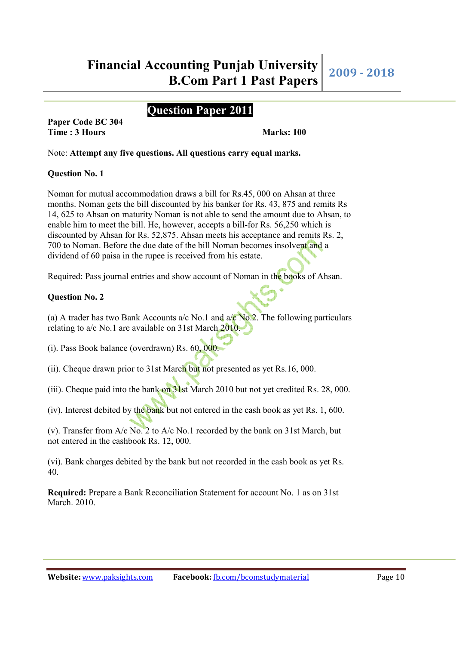# **Question Paper 2011**

**Paper Code BC 304 Time : 3 Hours Marks: 100** 

Note: **Attempt any five questions. All questions carry equal marks.**

#### **Question No. 1**

Noman for mutual accommodation draws a bill for Rs.45, 000 on Ahsan at three months. Noman gets the bill discounted by his banker for Rs. 43, 875 and remits Rs 14, 625 to Ahsan on maturity Noman is not able to send the amount due to Ahsan, to enable him to meet the bill. He, however, accepts a bill-for Rs. 56,250 which is discounted by Ahsan for Rs. 52,875. Ahsan meets his acceptance and remits Rs. 2, 700 to Noman. Before the due date of the bill Noman becomes insolvent and a dividend of 60 paisa in the rupee is received from his estate.

Required: Pass journal entries and show account of Noman in the books of Ahsan.

### **Question No. 2**

(a) A trader has two Bank Accounts a/c No.1 and  $a/c$  No.2. The following particulars relating to a/c No.1 are available on 31st March 2010.

(i). Pass Book balance (overdrawn) Rs. 60, 000.

(ii). Cheque drawn prior to 31st March but not presented as yet Rs.16, 000.

(iii). Cheque paid into the bank on 31st March 2010 but not yet credited Rs. 28, 000.

(iv). Interest debited by the bank but not entered in the cash book as yet Rs. 1, 600.

(v). Transfer from A/c No. 2 to A/c No.1 recorded by the bank on 31st March, but not entered in the cashbook Rs. 12, 000.

(vi). Bank charges debited by the bank but not recorded in the cash book as yet Rs. 40.

**Required:** Prepare a Bank Reconciliation Statement for account No. 1 as on 31st March. 2010.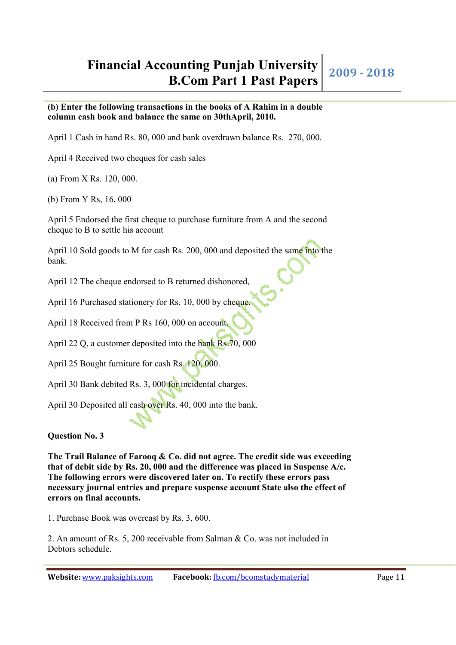### **(b) Enter the following transactions in the books of A Rahim in a double column cash book and balance the same on 30thApril, 2010.**

April 1 Cash in hand Rs. 80, 000 and bank overdrawn balance Rs. 270, 000.

April 4 Received two cheques for cash sales

(a) From X Rs. 120, 000.

(b) From Y Rs, 16, 000

April 5 Endorsed the first cheque to purchase furniture from A and the second cheque to B to settle his account

April 10 Sold goods to M for cash Rs. 200, 000 and deposited the same into the bank.

April 12 The cheque endorsed to B returned dishonored,

April 16 Purchased stationery for Rs. 10, 000 by cheque.

April 18 Received from P Rs 160, 000 on account.

April 22 Q, a customer deposited into the bank Rs.70, 000

April 25 Bought furniture for cash Rs. 120, 000.

April 30 Bank debited Rs. 3, 000 for incidental charges.

April 30 Deposited all cash over Rs. 40, 000 into the bank.

# **Question No. 3**

**The Trail Balance of Farooq & Co. did not agree. The credit side was exceeding that of debit side by Rs. 20, 000 and the difference was placed in Suspense A/c. The following errors were discovered later on. To rectify these errors pass necessary journal entries and prepare suspense account State also the effect of errors on final accounts.** 

1. Purchase Book was overcast by Rs. 3, 600.

2. An amount of Rs. 5, 200 receivable from Salman & Co. was not included in Debtors schedule.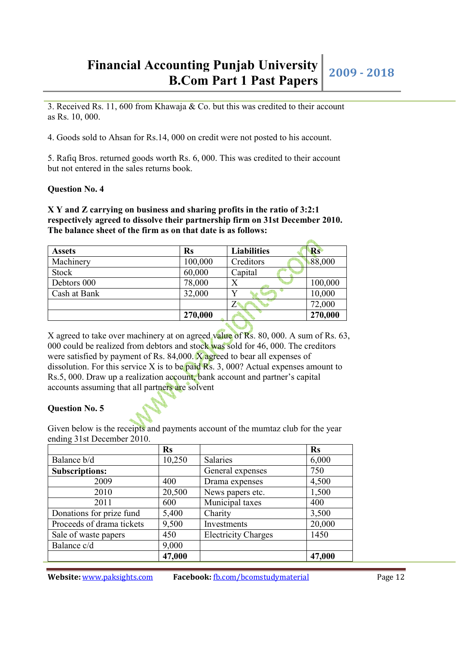# **Financial Accounting Punjab University bunting Punjab University** 2009 - 2018<br>**B.Com Part 1 Past Papers** 2009 - 2018

3. Received Rs. 11, 600 from Khawaja & Co. but this was credited to their account as Rs. 10, 000.

4. Goods sold to Ahsan for Rs.14, 000 on credit were not posted to his account.

5. Rafiq Bros. returned goods worth Rs. 6, 000. This was credited to their account but not entered in the sales returns book.

#### **Question No. 4**

#### **X Y and Z carrying on business and sharing profits in the ratio of 3:2:1 respectively agreed to dissolve their partnership firm on 31st December 2010. The balance sheet of the firm as on that date is as follows:**

| <b>Assets</b> | Rs      | <b>Liabilities</b> | Rs      |
|---------------|---------|--------------------|---------|
| Machinery     | 100,000 | Creditors          | 88,000  |
| Stock         | 60,000  | Capital            |         |
| Debtors 000   | 78,000  | Х                  | 100,000 |
| Cash at Bank  | 32,000  |                    | 10,000  |
|               |         |                    | 72,000  |
|               | 270,000 |                    | 270,000 |

X agreed to take over machinery at on agreed value of Rs. 80, 000. A sum of Rs. 63, 000 could be realized from debtors and stock was sold for 46, 000. The creditors were satisfied by payment of Rs. 84,000. X agreed to bear all expenses of dissolution. For this service X is to be paid  $\mathbb{R}s$ . 3, 000? Actual expenses amount to Rs.5, 000. Draw up a realization account, bank account and partner's capital accounts assuming that all partners are solvent

#### **Question No. 5**

Given below is the receipts and payments account of the mumtaz club for the year ending 31st December 2010.

|                           | <b>Rs</b> |                            | <b>Rs</b> |
|---------------------------|-----------|----------------------------|-----------|
| Balance b/d               | 10,250    | <b>Salaries</b>            | 6,000     |
| <b>Subscriptions:</b>     |           | General expenses           | 750       |
| 2009                      | 400       | Drama expenses             | 4,500     |
| 2010                      | 20,500    | News papers etc.           | 1,500     |
| 2011                      | 600       | Municipal taxes            | 400       |
| Donations for prize fund  | 5,400     | Charity                    | 3,500     |
| Proceeds of drama tickets | 9,500     | Investments                | 20,000    |
| Sale of waste papers      | 450       | <b>Electricity Charges</b> | 1450      |
| Balance c/d               | 9,000     |                            |           |
|                           | 47,000    |                            | 47,000    |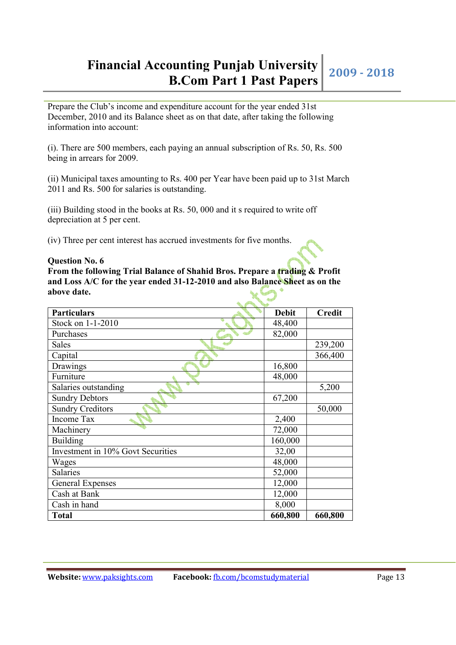# **Financial Accounting Punjab University bunting Punjab University** 2009 - 2018<br>**B.Com Part 1 Past Papers**

Prepare the Club's income and expenditure account for the year ended 31st December, 2010 and its Balance sheet as on that date, after taking the following information into account:

(i). There are 500 members, each paying an annual subscription of Rs. 50, Rs. 500 being in arrears for 2009.

(ii) Municipal taxes amounting to Rs. 400 per Year have been paid up to 31st March 2011 and Rs. 500 for salaries is outstanding.

(iii) Building stood in the books at Rs. 50, 000 and it s required to write off depreciation at 5 per cent.

(iv) Three per cent interest has accrued investments for five months.

#### **Question No. 6**

**From the following Trial Balance of Shahid Bros. Prepare a trading & Profit and Loss A/C for the year ended 31-12-2010 and also Balance Sheet as on the above date.**

| <b>Particulars</b>                | <b>Debit</b> | <b>Credit</b> |
|-----------------------------------|--------------|---------------|
| Stock on 1-1-2010                 | 48,400       |               |
| Purchases                         | 82,000       |               |
| Sales                             |              | 239,200       |
| Capital                           |              | 366,400       |
| Drawings                          | 16,800       |               |
| Furniture                         | 48,000       |               |
| Salaries outstanding              |              | 5,200         |
| <b>Sundry Debtors</b>             | 67,200       |               |
| <b>Sundry Creditors</b>           |              | 50,000        |
| Income Tax                        | 2,400        |               |
| Machinery                         | 72,000       |               |
| Building                          | 160,000      |               |
| Investment in 10% Govt Securities | 32,00        |               |
| Wages                             | 48,000       |               |
| <b>Salaries</b>                   | 52,000       |               |
| General Expenses                  | 12,000       |               |
| Cash at Bank                      | 12,000       |               |
| Cash in hand                      | 8,000        |               |
| <b>Total</b>                      | 660,800      | 660,800       |